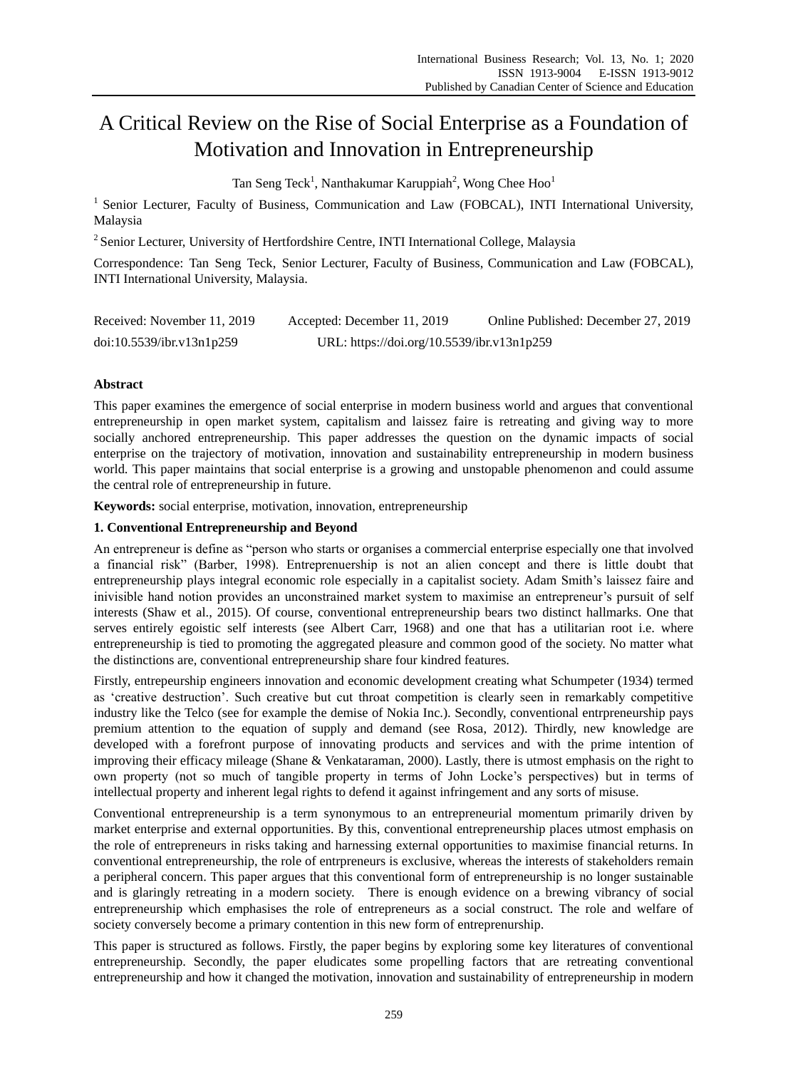# A Critical Review on the Rise of Social Enterprise as a Foundation of Motivation and Innovation in Entrepreneurship

Tan Seng Teck<sup>1</sup>, Nanthakumar Karuppiah<sup>2</sup>, Wong Chee Hoo<sup>1</sup>

<sup>1</sup> Senior Lecturer, Faculty of Business, Communication and Law (FOBCAL), INTI International University, Malaysia

<sup>2</sup> Senior Lecturer, University of Hertfordshire Centre, INTI International College, Malaysia

Correspondence: Tan Seng Teck, Senior Lecturer, Faculty of Business, Communication and Law (FOBCAL), INTI International University, Malaysia.

| Received: November 11, 2019 | Accepted: December 11, 2019                | Online Published: December 27, 2019 |
|-----------------------------|--------------------------------------------|-------------------------------------|
| doi:10.5539/ibr.v13n1p259   | URL: https://doi.org/10.5539/ibr.v13n1p259 |                                     |

# **Abstract**

This paper examines the emergence of social enterprise in modern business world and argues that conventional entrepreneurship in open market system, capitalism and laissez faire is retreating and giving way to more socially anchored entrepreneurship. This paper addresses the question on the dynamic impacts of social enterprise on the trajectory of motivation, innovation and sustainability entrepreneurship in modern business world. This paper maintains that social enterprise is a growing and unstopable phenomenon and could assume the central role of entrepreneurship in future.

**Keywords:** social enterprise, motivation, innovation, entrepreneurship

# **1. Conventional Entrepreneurship and Beyond**

An entrepreneur is define as "person who starts or organises a commercial enterprise especially one that involved a financial risk" (Barber, 1998). Entreprenuership is not an alien concept and there is little doubt that entrepreneurship plays integral economic role especially in a capitalist society. Adam Smith's laissez faire and inivisible hand notion provides an unconstrained market system to maximise an entrepreneur"s pursuit of self interests (Shaw et al., 2015). Of course, conventional entrepreneurship bears two distinct hallmarks. One that serves entirely egoistic self interests (see Albert Carr, 1968) and one that has a utilitarian root i.e. where entrepreneurship is tied to promoting the aggregated pleasure and common good of the society. No matter what the distinctions are, conventional entrepreneurship share four kindred features.

Firstly, entrepeurship engineers innovation and economic development creating what Schumpeter (1934) termed as "creative destruction". Such creative but cut throat competition is clearly seen in remarkably competitive industry like the Telco (see for example the demise of Nokia Inc.). Secondly, conventional entrpreneurship pays premium attention to the equation of supply and demand (see Rosa, 2012). Thirdly, new knowledge are developed with a forefront purpose of innovating products and services and with the prime intention of improving their efficacy mileage (Shane & Venkataraman, 2000). Lastly, there is utmost emphasis on the right to own property (not so much of tangible property in terms of John Locke"s perspectives) but in terms of intellectual property and inherent legal rights to defend it against infringement and any sorts of misuse.

Conventional entrepreneurship is a term synonymous to an entrepreneurial momentum primarily driven by market enterprise and external opportunities. By this, conventional entrepreneurship places utmost emphasis on the role of entrepreneurs in risks taking and harnessing external opportunities to maximise financial returns. In conventional entrepreneurship, the role of entrpreneurs is exclusive, whereas the interests of stakeholders remain a peripheral concern. This paper argues that this conventional form of entrepreneurship is no longer sustainable and is glaringly retreating in a modern society. There is enough evidence on a brewing vibrancy of social entrepreneurship which emphasises the role of entrepreneurs as a social construct. The role and welfare of society conversely become a primary contention in this new form of entreprenurship.

This paper is structured as follows. Firstly, the paper begins by exploring some key literatures of conventional entrepreneurship. Secondly, the paper eludicates some propelling factors that are retreating conventional entrepreneurship and how it changed the motivation, innovation and sustainability of entrepreneurship in modern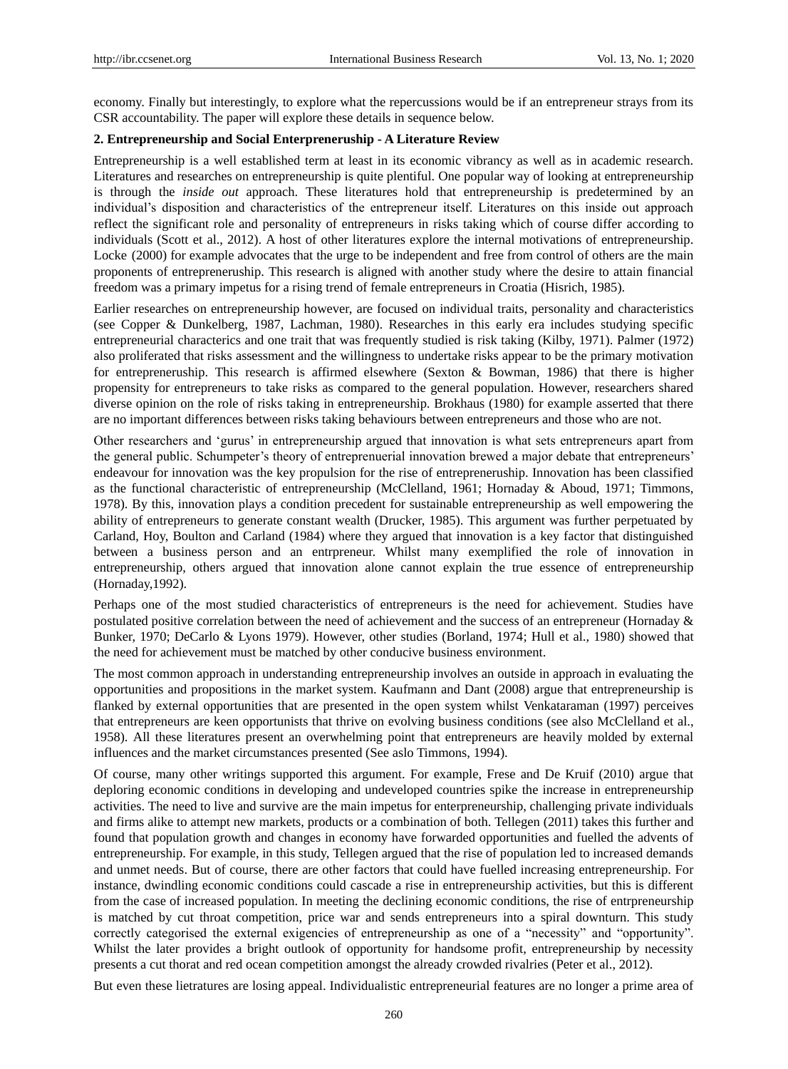economy. Finally but interestingly, to explore what the repercussions would be if an entrepreneur strays from its CSR accountability. The paper will explore these details in sequence below.

## **2. Entrepreneurship and Social Enterpreneruship - A Literature Review**

Entrepreneurship is a well established term at least in its economic vibrancy as well as in academic research. Literatures and researches on entrepreneurship is quite plentiful. One popular way of looking at entrepreneurship is through the *inside out* approach. These literatures hold that entrepreneurship is predetermined by an individual"s disposition and characteristics of the entrepreneur itself. Literatures on this inside out approach reflect the significant role and personality of entrepreneurs in risks taking which of course differ according to individuals (Scott et al., 2012). A host of other literatures explore the internal motivations of entrepreneurship. Locke (2000) for example advocates that the urge to be independent and free from control of others are the main proponents of entrepreneruship. This research is aligned with another study where the desire to attain financial freedom was a primary impetus for a rising trend of female entrepreneurs in Croatia (Hisrich, 1985).

Earlier researches on entrepreneurship however, are focused on individual traits, personality and characteristics (see Copper & Dunkelberg, 1987, Lachman, 1980). Researches in this early era includes studying specific entrepreneurial characterics and one trait that was frequently studied is risk taking (Kilby, 1971). Palmer (1972) also proliferated that risks assessment and the willingness to undertake risks appear to be the primary motivation for entrepreneruship. This research is affirmed elsewhere (Sexton & Bowman, 1986) that there is higher propensity for entrepreneurs to take risks as compared to the general population. However, researchers shared diverse opinion on the role of risks taking in entrepreneurship. Brokhaus (1980) for example asserted that there are no important differences between risks taking behaviours between entrepreneurs and those who are not.

Other researchers and "gurus" in entrepreneurship argued that innovation is what sets entrepreneurs apart from the general public. Schumpeter's theory of entreprenuerial innovation brewed a major debate that entrepreneurs' endeavour for innovation was the key propulsion for the rise of entrepreneruship. Innovation has been classified as the functional characteristic of entrepreneurship (McClelland, 1961; Hornaday & Aboud, 1971; Timmons, 1978). By this, innovation plays a condition precedent for sustainable entrepreneurship as well empowering the ability of entrepreneurs to generate constant wealth (Drucker, 1985). This argument was further perpetuated by Carland, Hoy, Boulton and Carland (1984) where they argued that innovation is a key factor that distinguished between a business person and an entrpreneur. Whilst many exemplified the role of innovation in entrepreneurship, others argued that innovation alone cannot explain the true essence of entrepreneurship (Hornaday,1992).

Perhaps one of the most studied characteristics of entrepreneurs is the need for achievement. Studies have postulated positive correlation between the need of achievement and the success of an entrepreneur (Hornaday & Bunker, 1970; DeCarlo & Lyons 1979). However, other studies (Borland, 1974; Hull et al., 1980) showed that the need for achievement must be matched by other conducive business environment.

The most common approach in understanding entrepreneurship involves an outside in approach in evaluating the opportunities and propositions in the market system. Kaufmann and Dant (2008) argue that entrepreneurship is flanked by external opportunities that are presented in the open system whilst Venkataraman (1997) perceives that entrepreneurs are keen opportunists that thrive on evolving business conditions (see also McClelland et al., 1958). All these literatures present an overwhelming point that entrepreneurs are heavily molded by external influences and the market circumstances presented (See aslo Timmons, 1994).

Of course, many other writings supported this argument. For example, Frese and De Kruif (2010) argue that deploring economic conditions in developing and undeveloped countries spike the increase in entrepreneurship activities. The need to live and survive are the main impetus for enterpreneurship, challenging private individuals and firms alike to attempt new markets, products or a combination of both. Tellegen (2011) takes this further and found that population growth and changes in economy have forwarded opportunities and fuelled the advents of entrepreneurship. For example, in this study, Tellegen argued that the rise of population led to increased demands and unmet needs. But of course, there are other factors that could have fuelled increasing entrepreneurship. For instance, dwindling economic conditions could cascade a rise in entrepreneurship activities, but this is different from the case of increased population. In meeting the declining economic conditions, the rise of entrpreneurship is matched by cut throat competition, price war and sends entrepreneurs into a spiral downturn. This study correctly categorised the external exigencies of entrepreneurship as one of a "necessity" and "opportunity". Whilst the later provides a bright outlook of opportunity for handsome profit, entrepreneurship by necessity presents a cut thorat and red ocean competition amongst the already crowded rivalries (Peter et al., 2012).

But even these lietratures are losing appeal. Individualistic entrepreneurial features are no longer a prime area of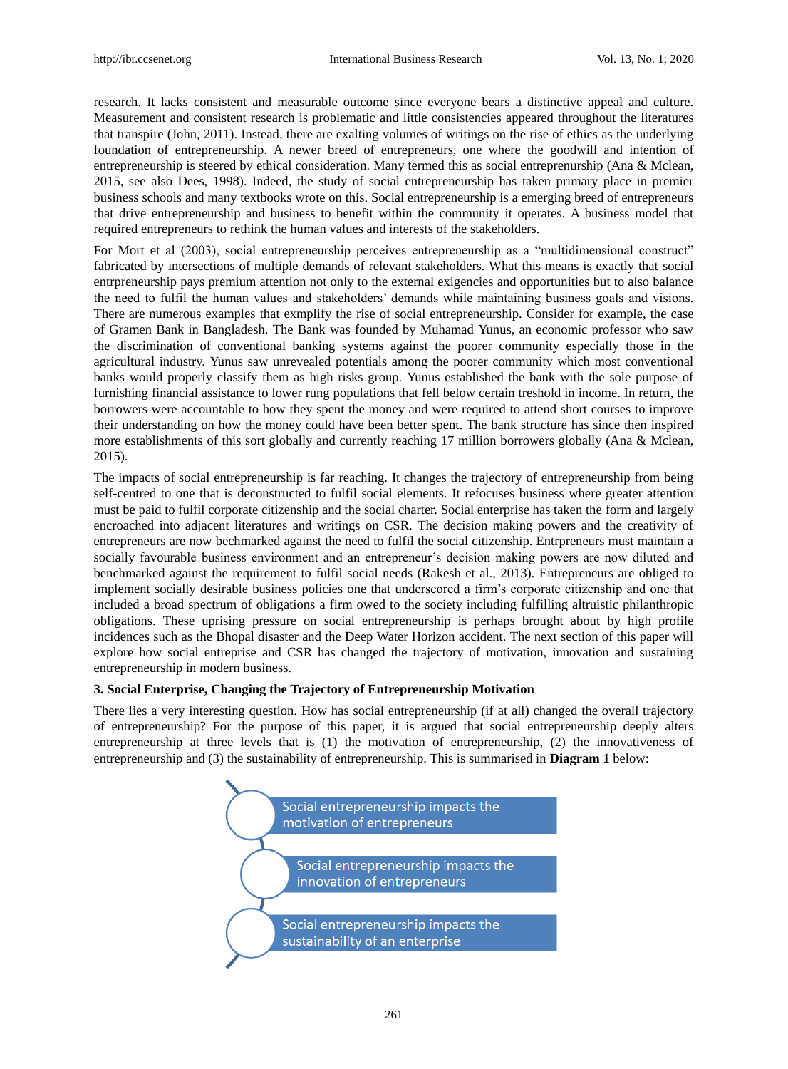research. It lacks consistent and measurable outcome since everyone bears a distinctive appeal and culture. Measurement and consistent research is problematic and little consistencies appeared throughout the literatures that transpire (John, 2011). Instead, there are exalting volumes of writings on the rise of ethics as the underlying foundation of entrepreneurship. A newer breed of entrepreneurs, one where the goodwill and intention of entrepreneurship is steered by ethical consideration. Many termed this as social entreprenurship (Ana & Mclean, 2015, see also Dees, 1998). Indeed, the study of social entrepreneurship has taken primary place in premier business schools and many textbooks wrote on this. Social entrepreneurship is a emerging breed of entrepreneurs that drive entrepreneurship and business to benefit within the community it operates. A business model that required entrepreneurs to rethink the human values and interests of the stakeholders.

For Mort et al (2003), social entrepreneurship perceives entrepreneurship as a "multidimensional construct" fabricated by intersections of multiple demands of relevant stakeholders. What this means is exactly that social entrpreneurship pays premium attention not only to the external exigencies and opportunities but to also balance the need to fulfil the human values and stakeholders" demands while maintaining business goals and visions. There are numerous examples that exmplify the rise of social entrepreneurship. Consider for example, the case of Gramen Bank in Bangladesh. The Bank was founded by Muhamad Yunus, an economic professor who saw the discrimination of conventional banking systems against the poorer community especially those in the agricultural industry. Yunus saw unrevealed potentials among the poorer community which most conventional banks would properly classify them as high risks group. Yunus established the bank with the sole purpose of furnishing financial assistance to lower rung populations that fell below certain treshold in income. In return, the borrowers were accountable to how they spent the money and were required to attend short courses to improve their understanding on how the money could have been better spent. The bank structure has since then inspired more establishments of this sort globally and currently reaching 17 million borrowers globally (Ana & Mclean, 2015).

The impacts of social entrepreneurship is far reaching. It changes the trajectory of entrepreneurship from being self-centred to one that is deconstructed to fulfil social elements. It refocuses business where greater attention must be paid to fulfil corporate citizenship and the social charter. Social enterprise has taken the form and largely encroached into adjacent literatures and writings on CSR. The decision making powers and the creativity of entrepreneurs are now bechmarked against the need to fulfil the social citizenship. Entrpreneurs must maintain a socially favourable business environment and an entrepreneur's decision making powers are now diluted and benchmarked against the requirement to fulfil social needs (Rakesh et al., 2013). Entrepreneurs are obliged to implement socially desirable business policies one that underscored a firm"s corporate citizenship and one that included a broad spectrum of obligations a firm owed to the society including fulfilling altruistic philanthropic obligations. These uprising pressure on social entrepreneurship is perhaps brought about by high profile incidences such as the Bhopal disaster and the Deep Water Horizon accident. The next section of this paper will explore how social entreprise and CSR has changed the trajectory of motivation, innovation and sustaining entrepreneurship in modern business.

## **3. Social Enterprise, Changing the Trajectory of Entrepreneurship Motivation**

There lies a very interesting question. How has social entrepreneurship (if at all) changed the overall trajectory of entrepreneurship? For the purpose of this paper, it is argued that social entrepreneurship deeply alters entrepreneurship at three levels that is (1) the motivation of entrepreneurship, (2) the innovativeness of entrepreneurship and (3) the sustainability of entrepreneurship. This is summarised in **Diagram 1** below:

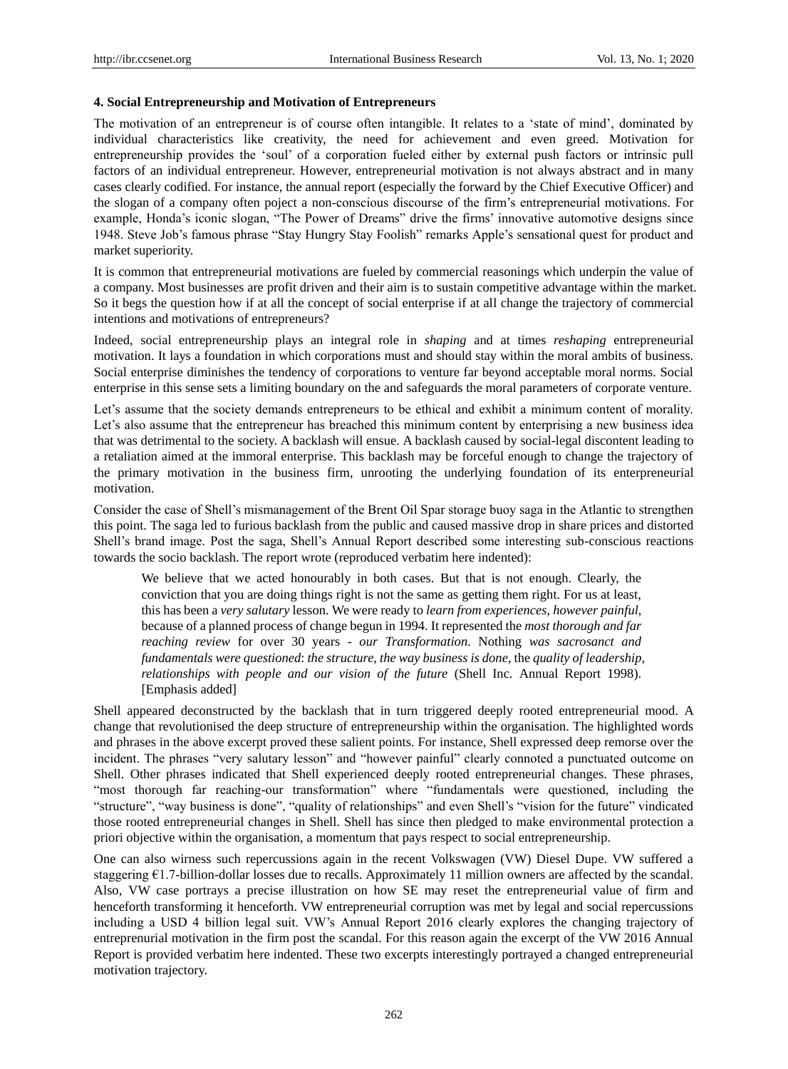#### **4. Social Entrepreneurship and Motivation of Entrepreneurs**

The motivation of an entrepreneur is of course often intangible. It relates to a "state of mind", dominated by individual characteristics like creativity, the need for achievement and even greed. Motivation for entrepreneurship provides the "soul" of a corporation fueled either by external push factors or intrinsic pull factors of an individual entrepreneur. However, entrepreneurial motivation is not always abstract and in many cases clearly codified. For instance, the annual report (especially the forward by the Chief Executive Officer) and the slogan of a company often poject a non-conscious discourse of the firm"s entrepreneurial motivations. For example, Honda"s iconic slogan, "The Power of Dreams" drive the firms" innovative automotive designs since 1948. Steve Job"s famous phrase "Stay Hungry Stay Foolish" remarks Apple"s sensational quest for product and market superiority.

It is common that entrepreneurial motivations are fueled by commercial reasonings which underpin the value of a company. Most businesses are profit driven and their aim is to sustain competitive advantage within the market. So it begs the question how if at all the concept of social enterprise if at all change the trajectory of commercial intentions and motivations of entrepreneurs?

Indeed, social entrepreneurship plays an integral role in *shaping* and at times *reshaping* entrepreneurial motivation. It lays a foundation in which corporations must and should stay within the moral ambits of business. Social enterprise diminishes the tendency of corporations to venture far beyond acceptable moral norms. Social enterprise in this sense sets a limiting boundary on the and safeguards the moral parameters of corporate venture.

Let's assume that the society demands entrepreneurs to be ethical and exhibit a minimum content of morality. Let's also assume that the entrepreneur has breached this minimum content by enterprising a new business idea that was detrimental to the society. A backlash will ensue. A backlash caused by social-legal discontent leading to a retaliation aimed at the immoral enterprise. This backlash may be forceful enough to change the trajectory of the primary motivation in the business firm, unrooting the underlying foundation of its enterpreneurial motivation.

Consider the case of Shell"s mismanagement of the Brent Oil Spar storage buoy saga in the Atlantic to strengthen this point. The saga led to furious backlash from the public and caused massive drop in share prices and distorted Shell"s brand image. Post the saga, Shell"s Annual Report described some interesting sub-conscious reactions towards the socio backlash. The report wrote (reproduced verbatim here indented):

We believe that we acted honourably in both cases. But that is not enough. Clearly, the conviction that you are doing things right is not the same as getting them right. For us at least, this has been a *very salutary* lesson. We were ready to *learn from experiences*, *however painful*, because of a planned process of change begun in 1994. It represented the *most thorough and far reaching review* for over 30 years - *our Transformation*. Nothing *was sacrosanct and fundamentals were questioned*: *the structure*, *the way business is done*, the *quality of leadership*, *relationships with people and our vision of the future* (Shell Inc. Annual Report 1998). [Emphasis added]

Shell appeared deconstructed by the backlash that in turn triggered deeply rooted entrepreneurial mood. A change that revolutionised the deep structure of entrepreneurship within the organisation. The highlighted words and phrases in the above excerpt proved these salient points. For instance, Shell expressed deep remorse over the incident. The phrases "very salutary lesson" and "however painful" clearly connoted a punctuated outcome on Shell. Other phrases indicated that Shell experienced deeply rooted entrepreneurial changes. These phrases, "most thorough far reaching-our transformation" where "fundamentals were questioned, including the "structure", "way business is done", "quality of relationships" and even Shell"s "vision for the future" vindicated those rooted entrepreneurial changes in Shell. Shell has since then pledged to make environmental protection a priori objective within the organisation, a momentum that pays respect to social entrepreneurship.

One can also wirness such repercussions again in the recent Volkswagen (VW) Diesel Dupe. VW suffered a staggering  $\epsilon$ 1.7-billion-dollar losses due to recalls. Approximately 11 million owners are affected by the scandal. Also, VW case portrays a precise illustration on how SE may reset the entrepreneurial value of firm and henceforth transforming it henceforth. VW entrepreneurial corruption was met by legal and social repercussions including a USD 4 billion legal suit. VW"s Annual Report 2016 clearly explores the changing trajectory of entreprenurial motivation in the firm post the scandal. For this reason again the excerpt of the VW 2016 Annual Report is provided verbatim here indented. These two excerpts interestingly portrayed a changed entrepreneurial motivation trajectory.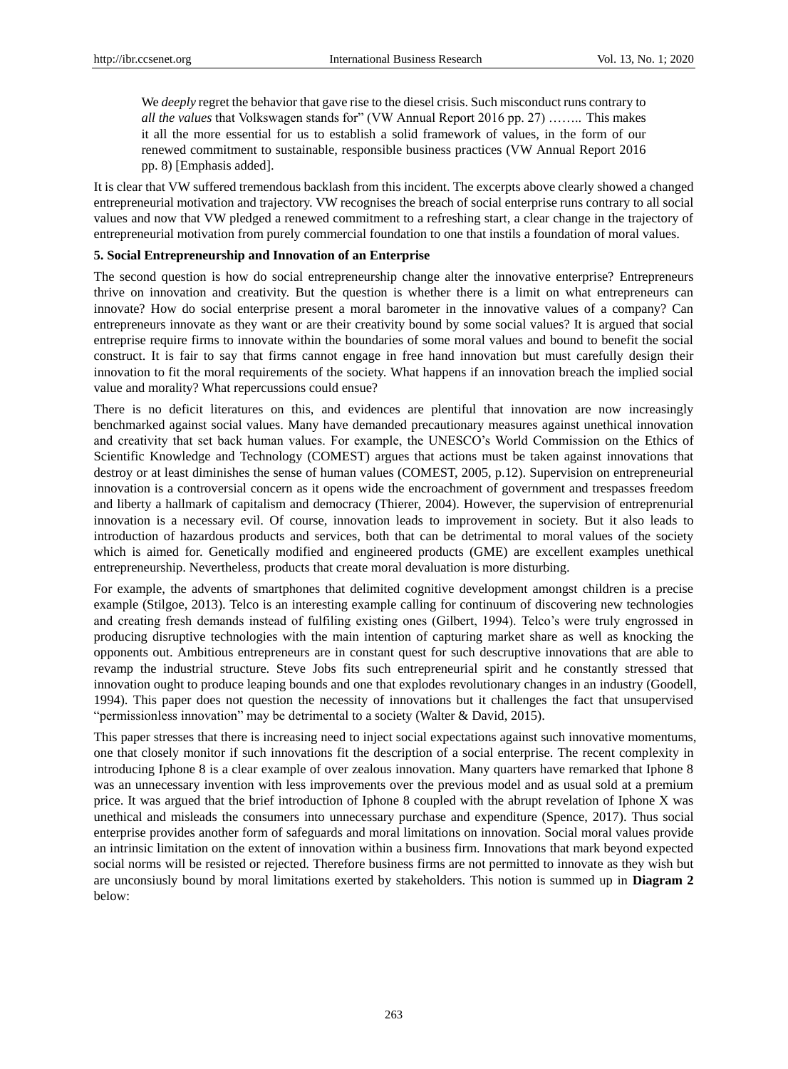We *deeply* regret the behavior that gave rise to the diesel crisis. Such misconduct runs contrary to *all the values* that Volkswagen stands for" (VW Annual Report 2016 pp. 27) …….. This makes it all the more essential for us to establish a solid framework of values, in the form of our renewed commitment to sustainable, responsible business practices (VW Annual Report 2016 pp. 8) [Emphasis added].

It is clear that VW suffered tremendous backlash from this incident. The excerpts above clearly showed a changed entrepreneurial motivation and trajectory. VW recognises the breach of social enterprise runs contrary to all social values and now that VW pledged a renewed commitment to a refreshing start, a clear change in the trajectory of entrepreneurial motivation from purely commercial foundation to one that instils a foundation of moral values.

#### **5. Social Entrepreneurship and Innovation of an Enterprise**

The second question is how do social entrepreneurship change alter the innovative enterprise? Entrepreneurs thrive on innovation and creativity. But the question is whether there is a limit on what entrepreneurs can innovate? How do social enterprise present a moral barometer in the innovative values of a company? Can entrepreneurs innovate as they want or are their creativity bound by some social values? It is argued that social entreprise require firms to innovate within the boundaries of some moral values and bound to benefit the social construct. It is fair to say that firms cannot engage in free hand innovation but must carefully design their innovation to fit the moral requirements of the society. What happens if an innovation breach the implied social value and morality? What repercussions could ensue?

There is no deficit literatures on this, and evidences are plentiful that innovation are now increasingly benchmarked against social values. Many have demanded precautionary measures against unethical innovation and creativity that set back human values. For example, the UNESCO"s World Commission on the Ethics of Scientific Knowledge and Technology (COMEST) argues that actions must be taken against innovations that destroy or at least diminishes the sense of human values (COMEST, 2005, p.12). Supervision on entrepreneurial innovation is a controversial concern as it opens wide the encroachment of government and trespasses freedom and liberty a hallmark of capitalism and democracy (Thierer, 2004). However, the supervision of entreprenurial innovation is a necessary evil. Of course, innovation leads to improvement in society. But it also leads to introduction of hazardous products and services, both that can be detrimental to moral values of the society which is aimed for. Genetically modified and engineered products (GME) are excellent examples unethical entrepreneurship. Nevertheless, products that create moral devaluation is more disturbing.

For example, the advents of smartphones that delimited cognitive development amongst children is a precise example (Stilgoe, 2013). Telco is an interesting example calling for continuum of discovering new technologies and creating fresh demands instead of fulfiling existing ones (Gilbert, 1994). Telco"s were truly engrossed in producing disruptive technologies with the main intention of capturing market share as well as knocking the opponents out. Ambitious entrepreneurs are in constant quest for such descruptive innovations that are able to revamp the industrial structure. Steve Jobs fits such entrepreneurial spirit and he constantly stressed that innovation ought to produce leaping bounds and one that explodes revolutionary changes in an industry (Goodell, 1994). This paper does not question the necessity of innovations but it challenges the fact that unsupervised "permissionless innovation" may be detrimental to a society (Walter & David, 2015).

This paper stresses that there is increasing need to inject social expectations against such innovative momentums, one that closely monitor if such innovations fit the description of a social enterprise. The recent complexity in introducing Iphone 8 is a clear example of over zealous innovation. Many quarters have remarked that Iphone 8 was an unnecessary invention with less improvements over the previous model and as usual sold at a premium price. It was argued that the brief introduction of Iphone 8 coupled with the abrupt revelation of Iphone X was unethical and misleads the consumers into unnecessary purchase and expenditure (Spence, 2017). Thus social enterprise provides another form of safeguards and moral limitations on innovation. Social moral values provide an intrinsic limitation on the extent of innovation within a business firm. Innovations that mark beyond expected social norms will be resisted or rejected. Therefore business firms are not permitted to innovate as they wish but are unconsiusly bound by moral limitations exerted by stakeholders. This notion is summed up in **Diagram 2** below: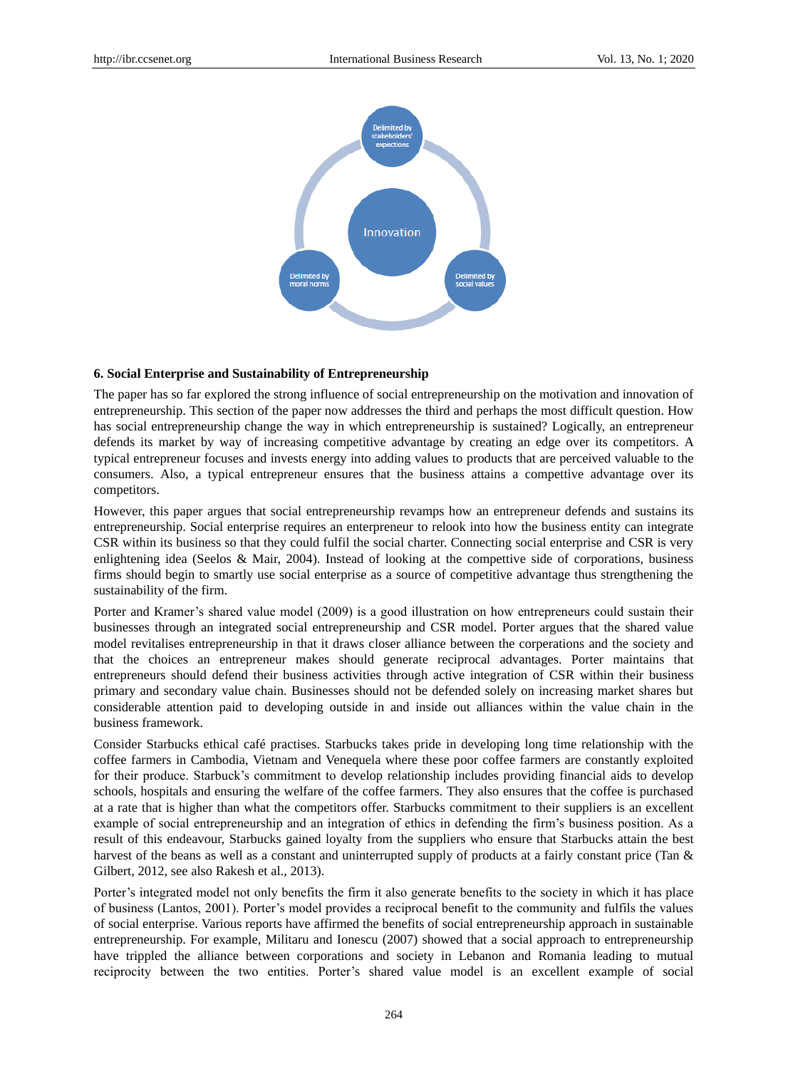

#### **6. Social Enterprise and Sustainability of Entrepreneurship**

The paper has so far explored the strong influence of social entrepreneurship on the motivation and innovation of entrepreneurship. This section of the paper now addresses the third and perhaps the most difficult question. How has social entrepreneurship change the way in which entrepreneurship is sustained? Logically, an entrepreneur defends its market by way of increasing competitive advantage by creating an edge over its competitors. A typical entrepreneur focuses and invests energy into adding values to products that are perceived valuable to the consumers. Also, a typical entrepreneur ensures that the business attains a compettive advantage over its competitors.

However, this paper argues that social entrepreneurship revamps how an entrepreneur defends and sustains its entrepreneurship. Social enterprise requires an enterpreneur to relook into how the business entity can integrate CSR within its business so that they could fulfil the social charter. Connecting social enterprise and CSR is very enlightening idea (Seelos & Mair, 2004). Instead of looking at the compettive side of corporations, business firms should begin to smartly use social enterprise as a source of competitive advantage thus strengthening the sustainability of the firm.

Porter and Kramer's shared value model (2009) is a good illustration on how entrepreneurs could sustain their businesses through an integrated social entrepreneurship and CSR model. Porter argues that the shared value model revitalises entrepreneurship in that it draws closer alliance between the corperations and the society and that the choices an entrepreneur makes should generate reciprocal advantages. Porter maintains that entrepreneurs should defend their business activities through active integration of CSR within their business primary and secondary value chain. Businesses should not be defended solely on increasing market shares but considerable attention paid to developing outside in and inside out alliances within the value chain in the business framework.

Consider Starbucks ethical café practises. Starbucks takes pride in developing long time relationship with the coffee farmers in Cambodia, Vietnam and Venequela where these poor coffee farmers are constantly exploited for their produce. Starbuck"s commitment to develop relationship includes providing financial aids to develop schools, hospitals and ensuring the welfare of the coffee farmers. They also ensures that the coffee is purchased at a rate that is higher than what the competitors offer. Starbucks commitment to their suppliers is an excellent example of social entrepreneurship and an integration of ethics in defending the firm"s business position. As a result of this endeavour, Starbucks gained loyalty from the suppliers who ensure that Starbucks attain the best harvest of the beans as well as a constant and uninterrupted supply of products at a fairly constant price (Tan & Gilbert, 2012, see also Rakesh et al., 2013).

Porter's integrated model not only benefits the firm it also generate benefits to the society in which it has place of business (Lantos, 2001). Porter"s model provides a reciprocal benefit to the community and fulfils the values of social enterprise. Various reports have affirmed the benefits of social entrepreneurship approach in sustainable entrepreneurship. For example, Militaru and Ionescu (2007) showed that a social approach to entrepreneurship have trippled the alliance between corporations and society in Lebanon and Romania leading to mutual reciprocity between the two entities. Porter"s shared value model is an excellent example of social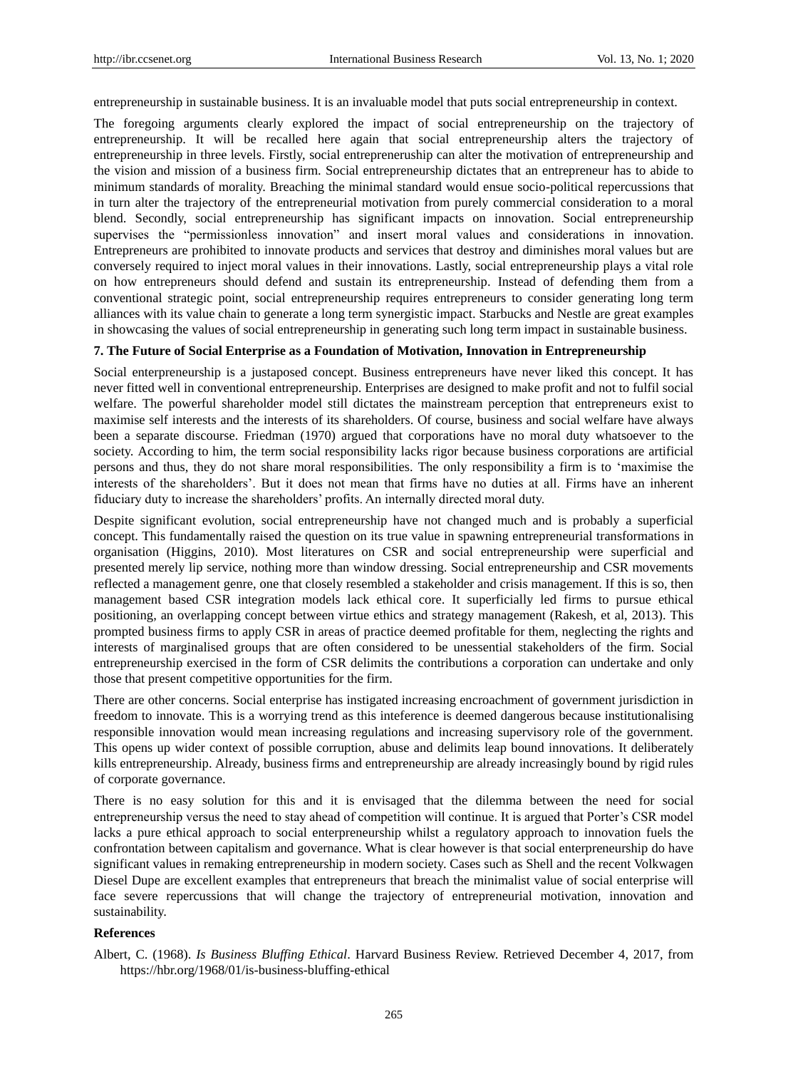entrepreneurship in sustainable business. It is an invaluable model that puts social entrepreneurship in context.

The foregoing arguments clearly explored the impact of social entrepreneurship on the trajectory of entrepreneurship. It will be recalled here again that social entrepreneurship alters the trajectory of entrepreneurship in three levels. Firstly, social entrepreneruship can alter the motivation of entrepreneurship and the vision and mission of a business firm. Social entrepreneurship dictates that an entrepreneur has to abide to minimum standards of morality. Breaching the minimal standard would ensue socio-political repercussions that in turn alter the trajectory of the entrepreneurial motivation from purely commercial consideration to a moral blend. Secondly, social entrepreneurship has significant impacts on innovation. Social entrepreneurship supervises the "permissionless innovation" and insert moral values and considerations in innovation. Entrepreneurs are prohibited to innovate products and services that destroy and diminishes moral values but are conversely required to inject moral values in their innovations. Lastly, social entrepreneurship plays a vital role on how entrepreneurs should defend and sustain its entrepreneurship. Instead of defending them from a conventional strategic point, social entrepreneurship requires entrepreneurs to consider generating long term alliances with its value chain to generate a long term synergistic impact. Starbucks and Nestle are great examples in showcasing the values of social entrepreneurship in generating such long term impact in sustainable business.

#### **7. The Future of Social Enterprise as a Foundation of Motivation, Innovation in Entrepreneurship**

Social enterpreneurship is a justaposed concept. Business entrepreneurs have never liked this concept. It has never fitted well in conventional entrepreneurship. Enterprises are designed to make profit and not to fulfil social welfare. The powerful shareholder model still dictates the mainstream perception that entrepreneurs exist to maximise self interests and the interests of its shareholders. Of course, business and social welfare have always been a separate discourse. Friedman (1970) argued that corporations have no moral duty whatsoever to the society. According to him, the term social responsibility lacks rigor because business corporations are artificial persons and thus, they do not share moral responsibilities. The only responsibility a firm is to "maximise the interests of the shareholders". But it does not mean that firms have no duties at all. Firms have an inherent fiduciary duty to increase the shareholders" profits. An internally directed moral duty.

Despite significant evolution, social entrepreneurship have not changed much and is probably a superficial concept. This fundamentally raised the question on its true value in spawning entrepreneurial transformations in organisation (Higgins, 2010). Most literatures on CSR and social entrepreneurship were superficial and presented merely lip service, nothing more than window dressing. Social entrepreneurship and CSR movements reflected a management genre, one that closely resembled a stakeholder and crisis management. If this is so, then management based CSR integration models lack ethical core. It superficially led firms to pursue ethical positioning, an overlapping concept between virtue ethics and strategy management (Rakesh, et al, 2013). This prompted business firms to apply CSR in areas of practice deemed profitable for them, neglecting the rights and interests of marginalised groups that are often considered to be unessential stakeholders of the firm. Social entrepreneurship exercised in the form of CSR delimits the contributions a corporation can undertake and only those that present competitive opportunities for the firm.

There are other concerns. Social enterprise has instigated increasing encroachment of government jurisdiction in freedom to innovate. This is a worrying trend as this inteference is deemed dangerous because institutionalising responsible innovation would mean increasing regulations and increasing supervisory role of the government. This opens up wider context of possible corruption, abuse and delimits leap bound innovations. It deliberately kills entrepreneurship. Already, business firms and entrepreneurship are already increasingly bound by rigid rules of corporate governance.

There is no easy solution for this and it is envisaged that the dilemma between the need for social entrepreneurship versus the need to stay ahead of competition will continue. It is argued that Porter"s CSR model lacks a pure ethical approach to social enterpreneurship whilst a regulatory approach to innovation fuels the confrontation between capitalism and governance. What is clear however is that social enterpreneurship do have significant values in remaking entrepreneurship in modern society. Cases such as Shell and the recent Volkwagen Diesel Dupe are excellent examples that entrepreneurs that breach the minimalist value of social enterprise will face severe repercussions that will change the trajectory of entrepreneurial motivation, innovation and sustainability.

#### **References**

Albert, C. (1968). *Is Business Bluffing Ethical*. Harvard Business Review. Retrieved December 4, 2017, from <https://hbr.org/1968/01/is-business-bluffing-ethical>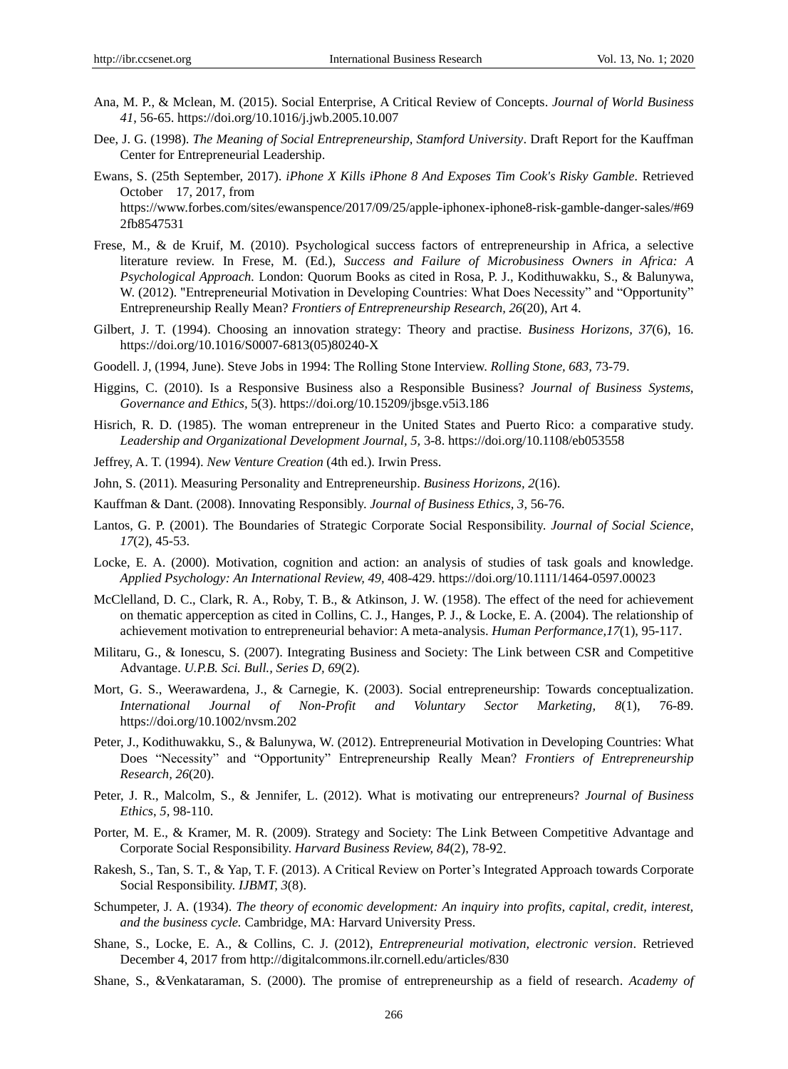- Ana, M. P., & Mclean, M. (2015). Social Enterprise, A Critical Review of Concepts. *Journal of World Business 41*, 56-65. https://doi.org/10.1016/j.jwb.2005.10.007
- Dee, J. G. (1998). *The Meaning of Social Entrepreneurship, Stamford University*. Draft Report for the Kauffman Center for Entrepreneurial Leadership.
- Ewans, S. (25th September, 2017). *iPhone X Kills iPhone 8 And Exposes Tim Cook's Risky Gamble.* Retrieved October 17, 2017, from https://www.forbes.com/sites/ewanspence/2017/09/25/apple-iphonex-iphone8-risk-gamble-danger-sales/#69 2fb8547531
- Frese, M., & de Kruif, M. (2010). Psychological success factors of entrepreneurship in Africa, a selective literature review. In Frese, M. (Ed.), *Success and Failure of Microbusiness Owners in Africa: A Psychological Approach.* London: Quorum Books as cited in Rosa, P. J., Kodithuwakku, S., & Balunywa, W. (2012). "Entrepreneurial Motivation in Developing Countries: What Does Necessity" and "Opportunity" Entrepreneurship Really Mean? *Frontiers of Entrepreneurship Research, 26*(20), Art 4.
- Gilbert, J. T. (1994). Choosing an innovation strategy: Theory and practise. *Business Horizons, 37*(6), 16. https://doi.org/10.1016/S0007-6813(05)80240-X
- Goodell. J, (1994, June). Steve Jobs in 1994: The Rolling Stone Interview. *Rolling Stone, 683,* 73-79.
- Higgins, C. (2010). Is a Responsive Business also a Responsible Business? *Journal of Business Systems, Governance and Ethics,* 5(3). https://doi.org/10.15209/jbsge.v5i3.186
- Hisrich, R. D. (1985). The woman entrepreneur in the United States and Puerto Rico: a comparative study. *Leadership and Organizational Development Journal, 5,* 3-8. https://doi.org/10.1108/eb053558
- Jeffrey, A. T. (1994). *New Venture Creation* (4th ed.). Irwin Press.
- John, S. (2011). Measuring Personality and Entrepreneurship. *Business Horizons, 2*(16).
- Kauffman & Dant. (2008). Innovating Responsibly. *Journal of Business Ethics, 3,* 56-76.
- Lantos, G. P. (2001). The Boundaries of Strategic Corporate Social Responsibility. *Journal of Social Science*, *17*(2), 45-53.
- Locke, E. A. (2000). Motivation, cognition and action: an analysis of studies of task goals and knowledge. *Applied Psychology: An International Review, 49,* 408-429. https://doi.org/10.1111/1464-0597.00023
- McClelland, D. C., Clark, R. A., Roby, T. B., & Atkinson, J. W. (1958). The effect of the need for achievement on thematic apperception as cited in Collins, C. J., Hanges, P. J., & Locke, E. A. (2004). The relationship of achievement motivation to entrepreneurial behavior: A meta-analysis. *Human Performance,17*(1), 95-117.
- Militaru, G., & Ionescu, S. (2007). Integrating Business and Society: The Link between CSR and Competitive Advantage. *U.P.B. Sci. Bull., Series D, 69*(2).
- Mort, G. S., Weerawardena, J., & Carnegie, K. (2003). Social entrepreneurship: Towards conceptualization. *International Journal of Non-Profit and Voluntary Sector Marketing, 8*(1), 76-89. https://doi.org/10.1002/nvsm.202
- Peter, J., Kodithuwakku, S., & Balunywa, W. (2012). Entrepreneurial Motivation in Developing Countries: What Does "Necessity" and "Opportunity" Entrepreneurship Really Mean? *Frontiers of Entrepreneurship Research, 26*(20).
- Peter, J. R., Malcolm, S., & Jennifer, L. (2012). What is motivating our entrepreneurs? *Journal of Business Ethics*, *5,* 98-110.
- Porter, M. E., & Kramer, M. R. (2009). Strategy and Society: The Link Between Competitive Advantage and Corporate Social Responsibility. *Harvard Business Review, 84*(2), 78-
- Rakesh, S., Tan, S. T., & Yap, T. F. (2013). A Critical Review on Porter"s Integrated Approach towards Corporate Social Responsibility. *IJBMT, 3*(8).
- Schumpeter, J. A. (1934). *The theory of economic development: An inquiry into profits, capital, credit, interest, and the business cycle.* Cambridge, MA: Harvard University Press.
- Shane, S., Locke, E. A., & Collins, C. J. (2012), *Entrepreneurial motivation, electronic version*. Retrieved December 4, 2017 from http://digitalcommons.ilr.cornell.edu/articles/830
- Shane, S., &Venkataraman, S. (2000). The promise of entrepreneurship as a field of research. *Academy of*